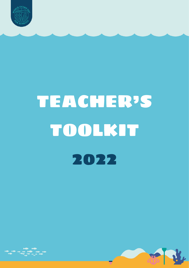

# TEACHER'S TOOLKIT 2022



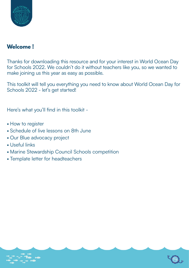

## **Welcome !**

Thanks for downloading this resource and for your interest in World Ocean Day for Schools 2022. We couldn't do it without teachers like you, so we wanted to make joining us this year as easy as possible.

This toolkit will tell you everything you need to know about World Ocean Day for Schools 2022 - let's get started!

Here's what you'll find in this toolkit -

- How to register
- Schedule of live lessons on 8th June
- Our Blue advocacy project
- Useful links
- Marine Stewardship Council Schools competition
- Template letter for headteachers



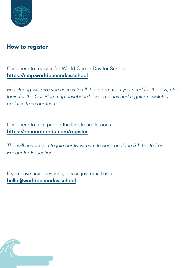

## **How to register**

Click here to register for World Ocean Day for Schools **<https://map.worldoceanday.school>**

*Registering will give you access to all the information you need for the day, plus*  login for the Our Blue map dashboard, lesson plans and regular newsletter *updates from our team.*

Click here to take part in the livestream lessons **<https://encounteredu.com/register>**

*This will enable you to join our livestream lessons on June 8th hosted on Encounter Education.* 

If you have any questions, please just email us at **[hello@worldoceanday.school](mailto:hello@worldoceanday.school)**

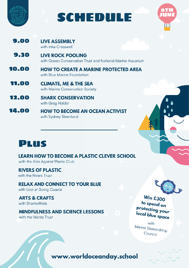

# SCHEDULE



- 9.00 **LIVE ASSEMBLY** with Inka Cresswell
- 9.30 **LIVE ROCK POOLING** with Ocean Conservation Trust and National Marine Aquarium

10.00 **HOW TO CREATE A MARINE PROTECTED AREA** with Blue Marine Foundation

- 11.00 **CLIMATE, ME & THE SEA** with Marine Conservation Society
- 12.00 **SHARK CONSERVATION** with Greg Holder
- 14.00 **HOW TO BECOME AN OCEAN ACTIVIST** with Sydney Steenland



**LEARN HOW TO BECOME A PLASTIC CLEVER SCHOOL** with the Kids Against Plastic Club

**RIVERS OF PLASTIC** with the Rivers Trust

**RELAX AND CONNECT TO YOUR BLUE** with Lizzi at Going Coastal

**ARTS & CRAFTS** with Sharks4Kids

#### **MINDFULNESS AND SCIENCE LESSONS**

with the Manta Trust

### **Win £300** to spend on **Protecting your** local blue space

with Marine Stewardship Council

www.worldoceanday.school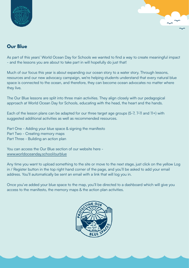



#### **Our Blue**

As part of this years' World Ocean Day for Schools we wanted to find a way to create meaningful impact - and the lessons you are about to take part in will hopefully do just that!

Much of our focus this year is about expanding our ocean story to a water story. Through lessons, resources and our new advocacy campaign, we're helping students understand that every natural blue space is connected to the ocean, and therefore, they can become ocean advocates no matter where they live.

The Our Blue lessons are split into three main activities. They align closely with our pedagogical approach at World Ocean Day for Schools, educating with the head, the heart and the hands.

Each of the lesson plans can be adapted for our three target age groups (5-7, 7-11 and 11+) with suggested additional activities as well as recommended resources.

Part One - Adding your blue space & signing the manifesto Part Two - Creating memory maps Part Three - Building an action plan

You can access the Our Blue section of our website here [www.worldoceanday.school/ourblue](http://www.worldoceanday.school/ourblue)

Any time you want to upload something to the site or move to the next stage, just click on the yellow Log in / Register button in the top right hand corner of the page, and you'll be asked to add your email address. You'll automatically be sent an email with a link that will log you in.

Once you've added your blue space to the map, you'll be directed to a dashboard which will give you access to the manifesto, the memory maps & the action plan activities.

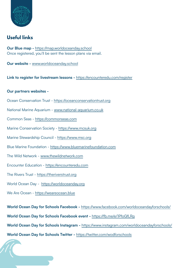

#### **Useful links**

**Our Blue map -** <https://map.worldoceanday.school> Once registered, you'll be sent the lesson plans via email.

**Our website -** [www.worldoceanday.school](http://www.worldoceanday.school)

**Link to register for livestream lessons -** <https://encounteredu.com/register>

#### **Our partners websites -**

- Ocean Conservation Trust <https://oceanconservationtrust.org>
- National Marine Aquarium - [www.national-aquarium.co.uk](http://www.national-aquarium.co.uk)
- Common Seas <https://commonseas.com>
- Marine Conservation Society <https://www.mcsuk.org>
- Marine Stewardship Council -<https://www.msc.org>
- Blue Marine Foundation -<https://www.bluemarinefoundation.com>
- The Wild Network [www.thewildnetwork.com](http://www.thewildnetwork.com)
- Encounter Education -<https://encounteredu.com>
- The Rivers Trust -<https://theriverstrust.org>
- World Ocean Day <https://worldoceanday.org>
- We Are Ocean -<https://weareocean.blue>

**World Ocean Day for Schools Facebook -** <https://www.facebook.com/worldoceandayforschools/>

**World Ocean Day for Schools Facebook event -** <https://fb.me/e/1PfoGfLRg>

**World Ocean Day for Schools Instagram -** <https://www.instagram.com/worldoceandayforschools/>

**World Ocean Day for Schools Twitter -** <https://twitter.com/wodforschools>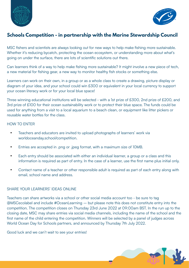



#### **Schools Competition - in partnership with the Marine Stewardship Council**

MSC fishers and scientists are always looking out for new ways to help make fishing more sustainable. Whether it's reducing bycatch, protecting the ocean ecosystem, or understanding more about what's going on under the surface, there are lots of scientific solutions out there.

Can learners think of a way to help make fishing more sustainable? It might involve a new piece of tech, a new material for fishing gear, a new way to monitor healthy fish stocks or something else.

Learners can work on their own, in a group or as a whole class to create a drawing, picture display or diagram of your idea, and your school could win £300 or equivalent in your local currency to support your ocean literacy work or for your local blue space!

Three winning educational institutions will be selected - with a 1st prize of £300, 2nd prize of £200, and 3rd prize of £100 for their ocean sustainability work or to protect their blue space. The funds could be used for anything from a visit to a local aquarium to a beach clean, or equipment like litter pickers or reusable water bottles for the class.

#### HOW TO ENTER

- Teachers and educators are invited to upload photographs of learners' work via worldoceanday.school/competition.
- Entries are accepted in .png or .jpeg format, with a maximum size of 10MB.
- Each entry should be associated with either an individual learner, a group or a class and this information is required as part of entry. In the case of a learner, use the first name plus initial only.
- Contact name of a teacher or other responsible adult is required as part of each entry along with email, school name and address.

#### SHARE YOUR LEARNERS' IDEAS ONLINE

Teachers can share artworks via a school or other social media account too - be sure to tag @MSCecolabel and include #OceanLearning – but please note this does not constitute entry into the competition. The competition closes on Thursday 23rd June 2022 at 09:00am BST. In the run up to the closing date, MSC may share entries via social media channels, including the name of the school and the first name of the child entering the competition. Winners will be selected by a panel of judges across World Ocean Day for Schools partners, and announced by Thursday 7th July 2022.

Good luck and we can't wait to see your entries!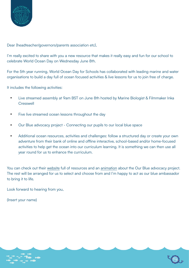

Dear {headteacher/governors/parents association etc},

I'm really excited to share with you a new resource that makes it really easy and fun for our school to celebrate World Ocean Day on Wednesday June 8th.

For the 5th year running, World Ocean Day for Schools has collaborated with leading marine and water organisations to build a day full of ocean focused activities & live lessons for us to join free of charge.

It includes the following activities:

- **•** Live streamed assembly at 9am BST on June 8th hosted by Marine Biologist & Filmmaker Inka **Cresswell**
- **•** Five live streamed ocean lessons throughout the day
- **•** Our Blue advocacy project Connecting our pupils to our local blue space
- **•** Additional ocean resources, activities and challenges: follow a structured day or create your own adventure from their bank of online and offline interactive, school-based and/or home-focused activities to help get the ocean into our curriculum learning. It is something we can then use all year round for us to enhance the curriculum.

You can check out their [website](https://worldoceanday.school/) full of resources and an [animation](https://youtu.be/I_9hfQ6UWws) about the Our Blue advocacy project. The rest will be arranged for us to select and choose from and I'm happy to act as our blue ambassador to bring it to life.

Look forward to hearing from you,

(Insert your name)